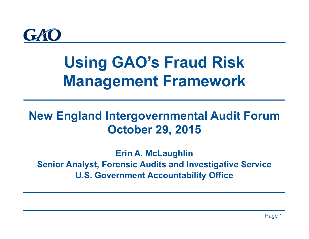

# **Using GAO's Fraud Risk Management Framework**

### **New England Intergovernmental Audit Forum October 29, 2015**

**Erin A. McLaughlin Senior Analyst, Forensic Audits and Investigative Service U.S. Government Accountability Office**

Page 1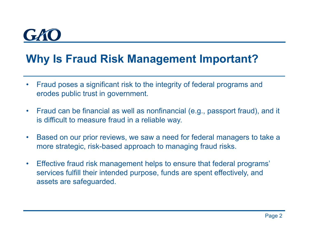# $\sqrt{t}$

#### **Why Is Fraud Risk Management Important?**

- • Fraud poses a significant risk to the integrity of federal programs and erodes public trust in government.
- $\bullet$  Fraud can be financial as well as nonfinancial (e.g., passport fraud), and it is difficult to measure fraud in a reliable way.
- $\bullet$  Based on our prior reviews, we saw a need for federal managers to take a more strategic, risk-based approach to managing fraud risks.
- $\bullet$  Effective fraud risk management helps to ensure that federal programs' services fulfill their intended purpose, funds are spent effectively, and assets are safeguarded.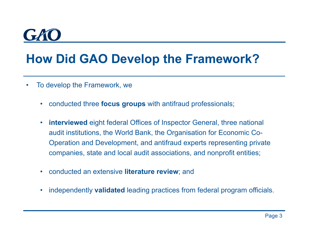## **How Did GAO Develop the Framework?**

- $\bullet$  To develop the Framework, we
	- •conducted three **focus groups** with antifraud professionals;
	- $\bullet$  **interviewed** eight federal Offices of Inspector General, three national audit institutions, the World Bank, the Organisation for Economic Co-Operation and Development, and antifraud experts representing private companies, state and local audit associations, and nonprofit entities;
	- $\bullet$ conducted an extensive **literature review**; and
	- •independently **validated** leading practices from federal program officials.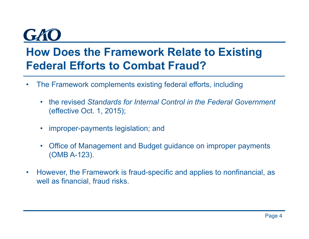#### **How Does the Framework Relate to Existing Federal Efforts to Combat Fraud?**

- • The Framework complements existing federal efforts, including
	- $\bullet$  the revised *Standards for Internal Control in the Federal Government* (effective Oct. 1, 2015);
	- •improper-payments legislation; and
	- $\bullet$  Office of Management and Budget guidance on improper payments (OMB A-123).
- $\bullet$  However, the Framework is fraud-specific and applies to nonfinancial, as well as financial, fraud risks.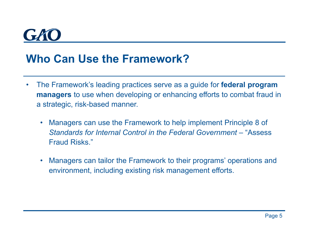#### **Who Can Use the Framework?**

- $\bullet$  The Framework's leading practices serve as a guide for **federal program managers** to use when developing or enhancing efforts to combat fraud in a strategic, risk-based manner.
	- $\bullet$  Managers can use the Framework to help implement Principle 8 of *Standards for Internal Control in the Federal Government* – "Assess Fraud Risks."
	- $\bullet$  Managers can tailor the Framework to their programs' operations and environment, including existing risk management efforts.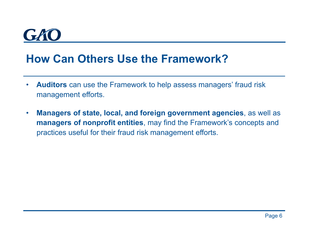

#### **How Can Others Use the Framework?**

- $\bullet$  **Auditors** can use the Framework to help assess managers' fraud risk management efforts.
- $\bullet$  **Managers of state, local, and foreign government agencies**, as well as **managers of nonprofit entities**, may find the Framework's concepts and practices useful for their fraud risk management efforts.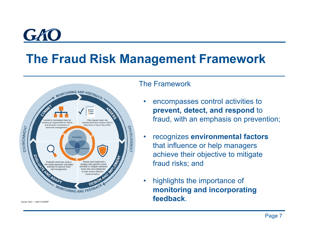# GA

## **The Fraud Risk Management Framework**



#### The Framework

- • encompasses control activities to **prevent, detect, and respond** to fraud, with an emphasis on prevention;
- • recognizes **environmental factors**  that influence or help managers achieve their objective to mitigate fraud risks; and
- • highlights the importance of **monitoring and incorporating feedback**.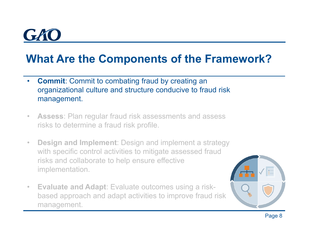### **What Are the Components of the Framework?**

- • **Commit**: Commit to combating fraud by creating an organizational culture and structure conducive to fraud risk management.
- $\bullet$  **Assess**: Plan regular fraud risk assessments and assess risks to determine a fraud risk profile.
- • **Design and Implement**: Design and implement a strategy with specific control activities to mitigate assessed fraud risks and collaborate to help ensure effective implementation.
- • **Evaluate and Adapt**: Evaluate outcomes using a riskbased approach and adapt activities to improve fraud risk management.

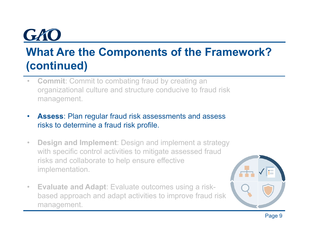## **What Are the Components of the Framework? (continued)**

- • **Commit**: Commit to combating fraud by creating an organizational culture and structure conducive to fraud risk management.
- • **Assess**: Plan regular fraud risk assessments and assess risks to determine a fraud risk profile.
- • **Design and Implement**: Design and implement a strategy with specific control activities to mitigate assessed fraud risks and collaborate to help ensure effective implementation.
- • **Evaluate and Adapt**: Evaluate outcomes using a riskbased approach and adapt activities to improve fraud risk management.

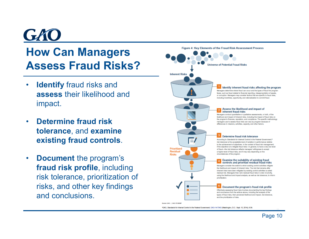## GK **How Can Managers Assess Fraud Risks?**

- • **Identify** fraud risks and **assess** their likelihood and impact.
- • **Determine fraud risk tolerance**, and **examine existing fraud controls**.
- $\bullet$  **Document** the program's **fraud risk profile**, including risk tolerance, prioritization of risks, and other key findings and conclusions.

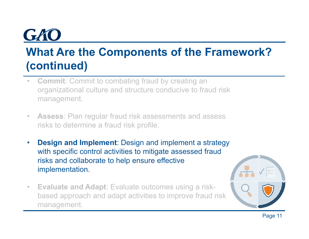## **What Are the Components of the Framework? (continued)**

- • **Commit**: Commit to combating fraud by creating an organizational culture and structure conducive to fraud risk management.
- • **Assess**: Plan regular fraud risk assessments and assess risks to determine a fraud risk profile.
- • **Design and Implement**: Design and implement a strategy with specific control activities to mitigate assessed fraud risks and collaborate to help ensure effective implementation.
- • **Evaluate and Adapt**: Evaluate outcomes using a riskbased approach and adapt activities to improve fraud risk management.

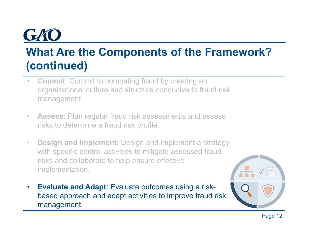## **What Are the Components of the Framework? (continued)**

- • **Commit**: Commit to combating fraud by creating an organizational culture and structure conducive to fraud risk management.
- • **Assess**: Plan regular fraud risk assessments and assess risks to determine a fraud risk profile.
- • **Design and Implement**: Design and implement a strategy with specific control activities to mitigate assessed fraud risks and collaborate to help ensure effective implementation.
- $\bullet$  **Evaluate and Adapt**: Evaluate outcomes using a riskbased approach and adapt activities to improve fraud risk management.

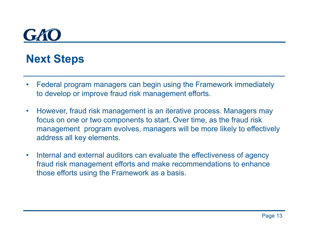#### **Next Steps**

- • Federal program managers can begin using the Framework immediately to develop or improve fraud risk management efforts.
- $\bullet$  However, fraud risk management is an iterative process. Managers may focus on one or two components to start. Over time, as the fraud risk management program evolves, managers will be more likely to effectively address all key elements.
- • Internal and external auditors can evaluate the effectiveness of agency fraud risk management efforts and make recommendations to enhance those efforts using the Framework as a basis.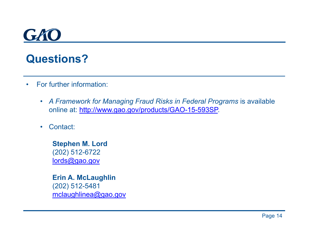#### **Questions?**

- • For further information:
	- A Framework for Managing Fraud Risks in Federal Programs is available online at: http://www.gao.gov/products/GAO-15-593SP.
	- •Contact:

**Stephen M. Lord** (202) 512-6722 lords@gao.gov

**Erin A. McLaughlin** (202) 512-5481 mclaughlinea@gao.gov